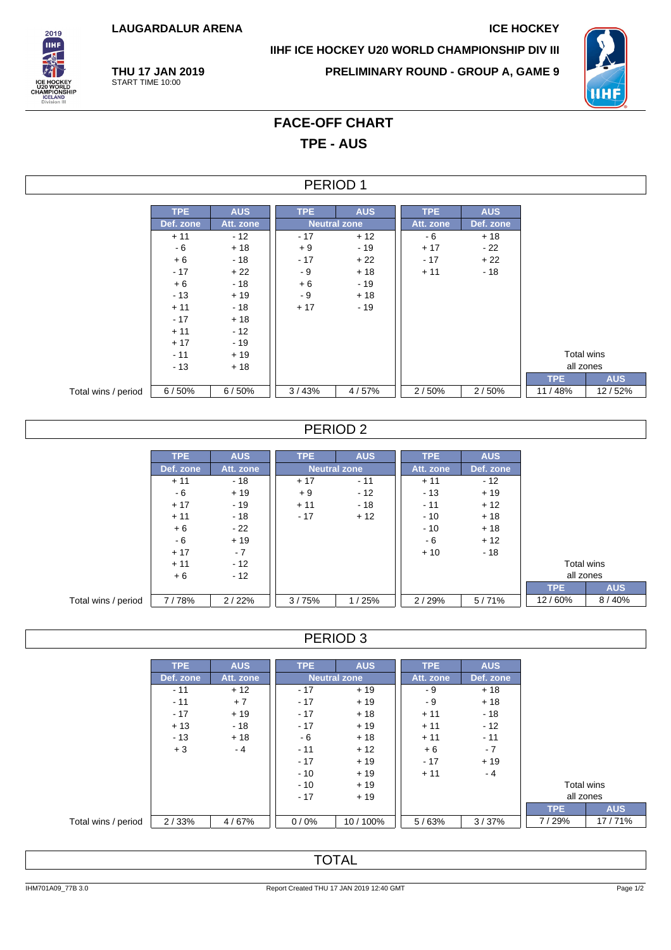**LAUGARDALUR ARENA ICE HOCKEY**

2019 **THE** 

**IIHF ICE HOCKEY U20 WORLD CHAMPIONSHIP DIV III**



**THU 17 JAN 2019** START TIME 10:00

**PRELIMINARY ROUND - GROUP A, GAME 9**

# **FACE-OFF CHART TPE - AUS**

#### PERIOD 1

|                     | TPE.      | <b>AUS</b> | <b>TPE</b> | <b>AUS</b>          | <b>TPE</b> | <b>AUS</b> |  |
|---------------------|-----------|------------|------------|---------------------|------------|------------|--|
|                     | Def. zone | Att. zone  |            | <b>Neutral zone</b> |            | Def. zone  |  |
|                     | $+11$     | $-12$      | $-17$      | $+12$               | - 6        | $+18$      |  |
|                     | - 6       | $+18$      | $+9$       | $-19$               | $+17$      | $-22$      |  |
|                     | $+6$      | $-18$      | $-17$      | $+22$               | $-17$      | $+22$      |  |
|                     | $-17$     | $+22$      | $-9$       | $+18$               | $+11$      | - 18       |  |
|                     | $+6$      | $-18$      | $+6$       | $-19$               |            |            |  |
|                     | $-13$     | $+19$      | - 9        | $+18$               |            |            |  |
|                     | $+11$     | $-18$      | $+17$      | $-19$               |            |            |  |
|                     | $-17$     | $+18$      |            |                     |            |            |  |
|                     | $+11$     | $-12$      |            |                     |            |            |  |
|                     | $+17$     | $-19$      |            |                     |            |            |  |
|                     | $-11$     | $+19$      |            |                     |            |            |  |
|                     | $-13$     | $+18$      |            |                     |            |            |  |
|                     |           |            |            |                     |            |            |  |
| Total wins / period | 6/50%     | 6/50%      | 3/43%      | 4/57%               | 2/50%      | 2/50%      |  |

#### PERIOD 2

|                     | <b>TPE</b> | <b>AUS</b> | <b>TPE</b> | <b>AUS</b>          | <b>TPE</b> | <b>AUS</b> |            |            |
|---------------------|------------|------------|------------|---------------------|------------|------------|------------|------------|
|                     | Def. zone  | Att. zone  |            | <b>Neutral zone</b> | Att. zone  | Def. zone  |            |            |
|                     | $+11$      | - 18       | $+17$      | $-11$               | $+11$      | $-12$      |            |            |
|                     | - 6        | $+19$      | $+9$       | $-12$               | $-13$      | $+19$      |            |            |
|                     | $+17$      | $-19$      | $+11$      | $-18$               | $-11$      | $+12$      |            |            |
|                     | $+11$      | $-18$      | $-17$      | $+12$               | $-10$      | $+18$      |            |            |
|                     | $+6$       | $-22$      |            |                     | $-10$      | $+18$      |            |            |
|                     | - 6        | $+19$      |            |                     | - 6        | $+12$      |            |            |
|                     | $+17$      | $-7$       |            |                     | $+10$      | $-18$      |            |            |
|                     | $+11$      | $-12$      |            |                     |            |            | Total wins |            |
|                     | $+6$       | $-12$      |            |                     |            |            | all zones  |            |
|                     |            |            |            |                     |            |            | <b>TPE</b> | <b>AUS</b> |
| Total wins / period | 7/78%      | 2/22%      | 3/75%      | 1/25%               | 2/29%      | 5/71%      | 12/60%     | 8/40%      |

### PERIOD 3

|                     | TPE.      | <b>AUS</b> | TPE.                | <b>AUS</b> | TPE       | <b>AUS</b> |            |            |
|---------------------|-----------|------------|---------------------|------------|-----------|------------|------------|------------|
|                     | Def. zone | Att. zone  | <b>Neutral zone</b> |            | Att. zone | Def. zone  |            |            |
|                     | $-11$     | $+12$      | $-17$               | $+19$      | - 9       | $+18$      |            |            |
|                     | $-11$     | $+7$       | $-17$               | $+19$      | - 9       | $+18$      |            |            |
|                     | $-17$     | $+19$      | $-17$               | $+18$      | $+11$     | - 18       |            |            |
|                     | $+13$     | $-18$      | $-17$               | $+19$      | $+11$     | $-12$      |            |            |
|                     | $-13$     | $+18$      | - 6                 | $+18$      | $+11$     | $-11$      |            |            |
|                     | $+3$      | $-4$       | $-11$               | $+12$      | $+6$      | $-7$       |            |            |
|                     |           |            | $-17$               | $+19$      | $-17$     | $+19$      |            |            |
|                     |           |            | $-10$               | $+19$      | $+11$     | - 4        |            |            |
|                     |           |            | $-10$               | $+19$      |           |            | Total wins |            |
|                     |           |            | $+19$<br>$-17$      |            |           |            | all zones  |            |
|                     |           |            |                     |            |           |            | TPE.       | <b>AUS</b> |
| Total wins / period | 2/33%     | 4/67%      | 0/0%                | 10/100%    | 5/63%     | 3/37%      | 7/29%      | 17/71%     |

## **TOTAL**